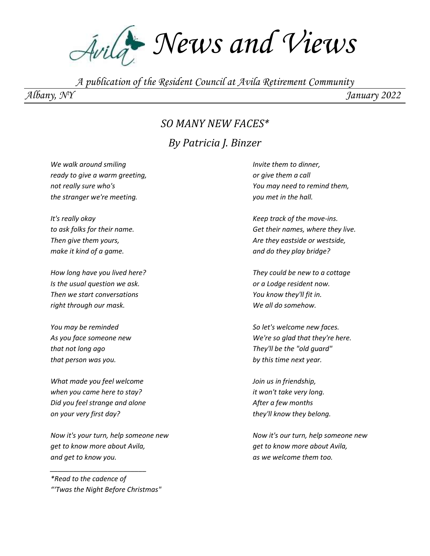Avila<sup>4</sup> News and Views

*A publication of the Resident Council at Avila Retirement Community*

*Albany, NY January 2022*

#### *SO MANY NEW FACES\**

#### *By Patricia J. Binzer*

*We walk around smiling ready to give a warm greeting, not really sure who's the stranger we're meeting.*

*It's really okay to ask folks for their name. Then give them yours, make it kind of a game.*

*How long have you lived here? Is the usual question we ask. Then we start conversations right through our mask.*

*You may be reminded As you face someone new that not long ago that person was you.*

*What made you feel welcome when you came here to stay? Did you feel strange and alone on your very first day?*

*Now it's your turn, help someone new get to know more about Avila, and get to know you.*

*\*Read to the cadence of "'Twas the Night Before Christmas"*

*\_\_\_\_\_\_\_\_\_\_\_\_\_\_\_\_\_\_\_\_\_\_\_\_\_*

*Invite them to dinner, or give them a call You may need to remind them, you met in the hall.*

*Keep track of the move-ins. Get their names, where they live. Are they eastside or westside, and do they play bridge?*

*They could be new to a cottage or a Lodge resident now. You know they'll fit in. We all do somehow.*

*So let's welcome new faces. We're so glad that they're here. They'll be the "old guard" by this time next year.*

*Join us in friendship, it won't take very long. After a few months they'll know they belong.*

*Now it's our turn, help someone new get to know more about Avila, as we welcome them too.*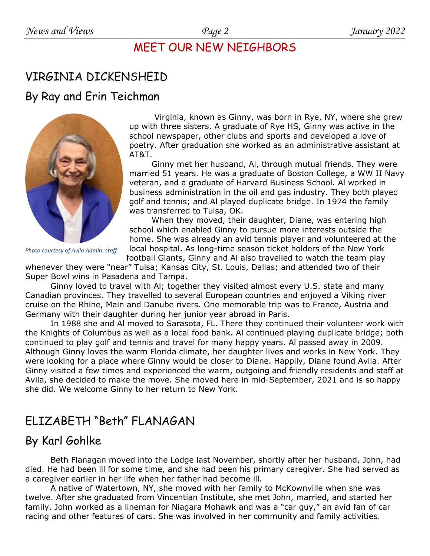### MEET OUR NEW NEIGHBORS

# VIRGINIA DICKENSHEID

#### By Ray and Erin Teichman



Virginia, known as Ginny, was born in Rye, NY, where she grew up with three sisters. A graduate of Rye HS, Ginny was active in the school newspaper, other clubs and sports and developed a love of poetry. After graduation she worked as an administrative assistant at AT&T.

Ginny met her husband, Al, through mutual friends. They were married 51 years. He was a graduate of Boston College, a WW II Navy veteran, and a graduate of Harvard Business School. Al worked in business administration in the oil and gas industry. They both played golf and tennis; and Al played duplicate bridge. In 1974 the family was transferred to Tulsa, OK.

When they moved, their daughter, Diane, was entering high school which enabled Ginny to pursue more interests outside the home. She was already an avid tennis player and volunteered at the local hospital. As long-time season ticket holders of the New York

football Giants, Ginny and Al also travelled to watch the team play whenever they were "near" Tulsa; Kansas City, St. Louis, Dallas; and attended two of their Super Bowl wins in Pasadena and Tampa.

Ginny loved to travel with Al; together they visited almost every U.S. state and many Canadian provinces. They travelled to several European countries and enjoyed a Viking river cruise on the Rhine, Main and Danube rivers. One memorable trip was to France, Austria and Germany with their daughter during her junior year abroad in Paris.

In 1988 she and Al moved to Sarasota, FL. There they continued their volunteer work with the Knights of Columbus as well as a local food bank. Al continued playing duplicate bridge; both continued to play golf and tennis and travel for many happy years. Al passed away in 2009. Although Ginny loves the warm Florida climate, her daughter lives and works in New York. They were looking for a place where Ginny would be closer to Diane. Happily, Diane found Avila. After Ginny visited a few times and experienced the warm, outgoing and friendly residents and staff at Avila, she decided to make the move. She moved here in mid-September, 2021 and is so happy she did. We welcome Ginny to her return to New York.

# ELIZABETH "Beth" FLANAGAN

# By Karl Gohlke

Beth Flanagan moved into the Lodge last November, shortly after her husband, John, had died. He had been ill for some time, and she had been his primary caregiver. She had served as a caregiver earlier in her life when her father had become ill.

A native of Watertown, NY, she moved with her family to McKownville when she was twelve. After she graduated from Vincentian Institute, she met John, married, and started her family. John worked as a lineman for Niagara Mohawk and was a "car guy," an avid fan of car racing and other features of cars. She was involved in her community and family activities.

*Photo courtesy of Avila Admin. staff*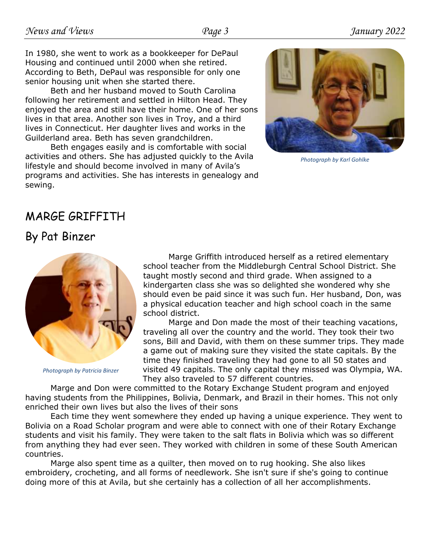In 1980, she went to work as a bookkeeper for DePaul Housing and continued until 2000 when she retired. According to Beth, DePaul was responsible for only one senior housing unit when she started there.

Beth and her husband moved to South Carolina following her retirement and settled in Hilton Head. They enjoyed the area and still have their home. One of her sons lives in that area. Another son lives in Troy, and a third lives in Connecticut. Her daughter lives and works in the Guilderland area. Beth has seven grandchildren.

Beth engages easily and is comfortable with social activities and others. She has adjusted quickly to the Avila lifestyle and should become involved in many of Avila's programs and activities. She has interests in genealogy and sewing.



*Photograph by Karl Gohlke*

# MARGE GRIFFITH

### By Pat Binzer



*Photograph by Patricia Binzer*

Marge Griffith introduced herself as a retired elementary school teacher from the Middleburgh Central School District. She taught mostly second and third grade. When assigned to a kindergarten class she was so delighted she wondered why she should even be paid since it was such fun. Her husband, Don, was a physical education teacher and high school coach in the same school district.

Marge and Don made the most of their teaching vacations, traveling all over the country and the world. They took their two sons, Bill and David, with them on these summer trips. They made a game out of making sure they visited the state capitals. By the time they finished traveling they had gone to all 50 states and visited 49 capitals. The only capital they missed was Olympia, WA. They also traveled to 57 different countries.

Marge and Don were committed to the Rotary Exchange Student program and enjoyed having students from the Philippines, Bolivia, Denmark, and Brazil in their homes. This not only enriched their own lives but also the lives of their sons

Each time they went somewhere they ended up having a unique experience. They went to Bolivia on a Road Scholar program and were able to connect with one of their Rotary Exchange students and visit his family. They were taken to the salt flats in Bolivia which was so different from anything they had ever seen. They worked with children in some of these South American countries.

Marge also spent time as a quilter, then moved on to rug hooking. She also likes embroidery, crocheting, and all forms of needlework. She isn't sure if she's going to continue doing more of this at Avila, but she certainly has a collection of all her accomplishments.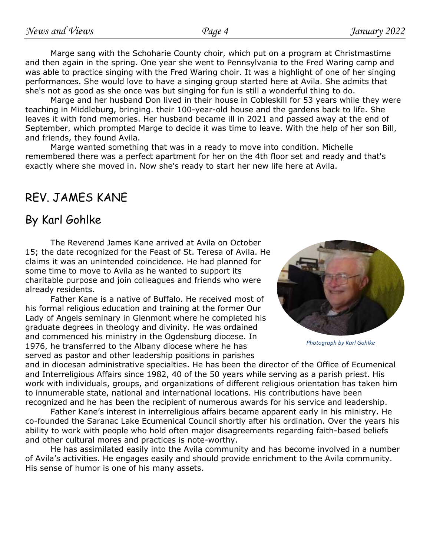Marge sang with the Schoharie County choir, which put on a program at Christmastime and then again in the spring. One year she went to Pennsylvania to the Fred Waring camp and was able to practice singing with the Fred Waring choir. It was a highlight of one of her singing performances. She would love to have a singing group started here at Avila. She admits that she's not as good as she once was but singing for fun is still a wonderful thing to do.

Marge and her husband Don lived in their house in Cobleskill for 53 years while they were teaching in Middleburg, bringing. their 100-year-old house and the gardens back to life. She leaves it with fond memories. Her husband became ill in 2021 and passed away at the end of September, which prompted Marge to decide it was time to leave. With the help of her son Bill, and friends, they found Avila.

Marge wanted something that was in a ready to move into condition. Michelle remembered there was a perfect apartment for her on the 4th floor set and ready and that's exactly where she moved in. Now she's ready to start her new life here at Avila.

# REV. JAMES KANE

#### By Karl Gohlke

The Reverend James Kane arrived at Avila on October 15; the date recognized for the Feast of St. Teresa of Avila. He claims it was an unintended coincidence. He had planned for some time to move to Avila as he wanted to support its charitable purpose and join colleagues and friends who were already residents.

Father Kane is a native of Buffalo. He received most of his formal religious education and training at the former Our Lady of Angels seminary in Glenmont where he completed his graduate degrees in theology and divinity. He was ordained and commenced his ministry in the Ogdensburg diocese. In 1976, he transferred to the Albany diocese where he has served as pastor and other leadership positions in parishes



*Photograph by Karl Gohlke*

and in diocesan administrative specialties. He has been the director of the Office of Ecumenical and Interreligious Affairs since 1982, 40 of the 50 years while serving as a parish priest. His work with individuals, groups, and organizations of different religious orientation has taken him to innumerable state, national and international locations. His contributions have been recognized and he has been the recipient of numerous awards for his service and leadership.

Father Kane's interest in interreligious affairs became apparent early in his ministry. He co-founded the Saranac Lake Ecumenical Council shortly after his ordination. Over the years his ability to work with people who hold often major disagreements regarding faith-based beliefs and other cultural mores and practices is note-worthy.

He has assimilated easily into the Avila community and has become involved in a number of Avila's activities. He engages easily and should provide enrichment to the Avila community. His sense of humor is one of his many assets.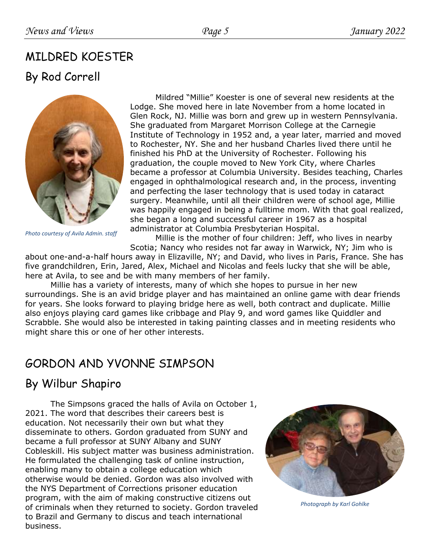# MILDRED KOESTER

### By Rod Correll



*Photo courtesy of Avila Admin. staff*

Mildred "Millie" Koester is one of several new residents at the Lodge. She moved here in late November from a home located in Glen Rock, NJ. Millie was born and grew up in western Pennsylvania. She graduated from Margaret Morrison College at the Carnegie Institute of Technology in 1952 and, a year later, married and moved to Rochester, NY. She and her husband Charles lived there until he finished his PhD at the University of Rochester. Following his graduation, the couple moved to New York City, where Charles became a professor at Columbia University. Besides teaching, Charles engaged in ophthalmological research and, in the process, inventing and perfecting the laser technology that is used today in cataract surgery. Meanwhile, until all their children were of school age, Millie was happily engaged in being a fulltime mom. With that goal realized, she began a long and successful career in 1967 as a hospital administrator at Columbia Presbyterian Hospital.

Millie is the mother of four children: Jeff, who lives in nearby Scotia; Nancy who resides not far away in Warwick, NY; Jim who is

about one-and-a-half hours away in Elizaville, NY; and David, who lives in Paris, France. She has five grandchildren, Erin, Jared, Alex, Michael and Nicolas and feels lucky that she will be able, here at Avila, to see and be with many members of her family.

Millie has a variety of interests, many of which she hopes to pursue in her new surroundings. She is an avid bridge player and has maintained an online game with dear friends for years. She looks forward to playing bridge here as well, both contract and duplicate. Millie also enjoys playing card games like cribbage and Play 9, and word games like Quiddler and Scrabble. She would also be interested in taking painting classes and in meeting residents who might share this or one of her other interests.

# GORDON AND YVONNE SIMPSON

# By Wilbur Shapiro

The Simpsons graced the halls of Avila on October 1, 2021. The word that describes their careers best is education. Not necessarily their own but what they disseminate to others. Gordon graduated from SUNY and became a full professor at SUNY Albany and SUNY Cobleskill. His subject matter was business administration. He formulated the challenging task of online instruction, enabling many to obtain a college education which otherwise would be denied. Gordon was also involved with the NYS Department of Corrections prisoner education program, with the aim of making constructive citizens out of criminals when they returned to society. Gordon traveled to Brazil and Germany to discus and teach international business.



*Photograph by Karl Gohlke*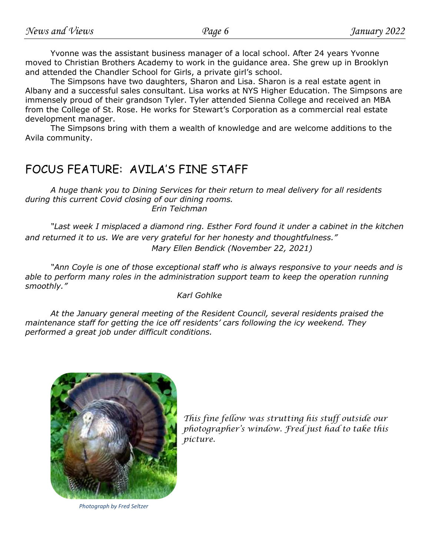Yvonne was the assistant business manager of a local school. After 24 years Yvonne moved to Christian Brothers Academy to work in the guidance area. She grew up in Brooklyn and attended the Chandler School for Girls, a private girl's school.

The Simpsons have two daughters, Sharon and Lisa. Sharon is a real estate agent in Albany and a successful sales consultant. Lisa works at NYS Higher Education. The Simpsons are immensely proud of their grandson Tyler. Tyler attended Sienna College and received an MBA from the College of St. Rose. He works for Stewart's Corporation as a commercial real estate development manager.

The Simpsons bring with them a wealth of knowledge and are welcome additions to the Avila community.

# FOCUS FEATURE: AVILA'S FINE STAFF

*A huge thank you to Dining Services for their return to meal delivery for all residents during this current Covid closing of our dining rooms. Erin Teichman*

*"Last week I misplaced a diamond ring. Esther Ford found it under a cabinet in the kitchen and returned it to us. We are very grateful for her honesty and thoughtfulness." Mary Ellen Bendick (November 22, 2021)*

*"Ann Coyle is one of those exceptional staff who is always responsive to your needs and is able to perform many roles in the administration support team to keep the operation running smoothly."*

*Karl Gohlke*

*At the January general meeting of the Resident Council, several residents praised the maintenance staff for getting the ice off residents' cars following the icy weekend. They performed a great job under difficult conditions.*



*Photograph by Fred Seltzer*

*This fine fellow was strutting his stuff outside our photographer's window. Fred just had to take this picture.*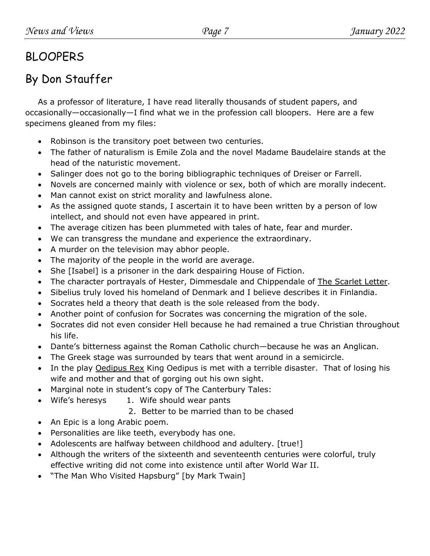# BLOOPERS

# By Don Stauffer

As a professor of literature, I have read literally thousands of student papers, and occasionally—occasionally—I find what we in the profession call bloopers. Here are a few specimens gleaned from my files:

- Robinson is the transitory poet between two centuries.
- The father of naturalism is Emile Zola and the novel Madame Baudelaire stands at the head of the naturistic movement.
- Salinger does not go to the boring bibliographic techniques of Dreiser or Farrell.
- Novels are concerned mainly with violence or sex, both of which are morally indecent.
- Man cannot exist on strict morality and lawfulness alone.
- As the assigned quote stands, I ascertain it to have been written by a person of low intellect, and should not even have appeared in print.
- The average citizen has been plummeted with tales of hate, fear and murder.
- We can transgress the mundane and experience the extraordinary.
- A murder on the television may abhor people.
- The majority of the people in the world are average.
- She [Isabel] is a prisoner in the dark despairing House of Fiction.
- The character portrayals of Hester, Dimmesdale and Chippendale of The Scarlet Letter.
- Sibelius truly loved his homeland of Denmark and I believe describes it in Finlandia.
- Socrates held a theory that death is the sole released from the body.
- Another point of confusion for Socrates was concerning the migration of the sole.
- Socrates did not even consider Hell because he had remained a true Christian throughout his life.
- Dante's bitterness against the Roman Catholic church—because he was an Anglican.
- The Greek stage was surrounded by tears that went around in a semicircle.
- In the play Oedipus Rex King Oedipus is met with a terrible disaster. That of losing his wife and mother and that of gorging out his own sight.
- Marginal note in student's copy of The Canterbury Tales:
- Wife's heresys 1. Wife should wear pants
	- 2. Better to be married than to be chased
- An Epic is a long Arabic poem.
- Personalities are like teeth, everybody has one.
- Adolescents are halfway between childhood and adultery. [true!]
- Although the writers of the sixteenth and seventeenth centuries were colorful, truly effective writing did not come into existence until after World War II.
- "The Man Who Visited Hapsburg" [by Mark Twain]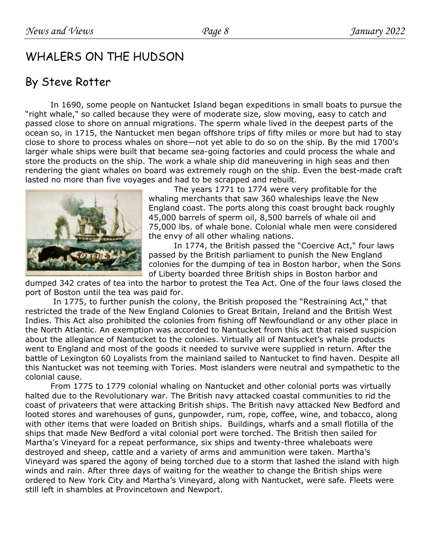# WHALERS ON THE HUDSON

### By Steve Rotter

In 1690, some people on Nantucket Island began expeditions in small boats to pursue the "right whale," so called because they were of moderate size, slow moving, easy to catch and passed close to shore on annual migrations. The sperm whale lived in the deepest parts of the ocean so, in 1715, the Nantucket men began offshore trips of fifty miles or more but had to stay close to shore to process whales on shore—not yet able to do so on the ship. By the mid 1700's larger whale ships were built that became sea-going factories and could process the whale and store the products on the ship. The work a whale ship did maneuvering in high seas and then rendering the giant whales on board was extremely rough on the ship. Even the best-made craft lasted no more than five voyages and had to be scrapped and rebuilt.



The years 1771 to 1774 were very profitable for the whaling merchants that saw 360 whaleships leave the New England coast. The ports along this coast brought back roughly 45,000 barrels of sperm oil, 8,500 barrels of whale oil and 75,000 lbs. of whale bone. Colonial whale men were considered the envy of all other whaling nations.

In 1774, the British passed the "Coercive Act," four laws passed by the British parliament to punish the New England colonies for the dumping of tea in Boston harbor, when the Sons of Liberty boarded three British ships in Boston harbor and

dumped 342 crates of tea into the harbor to protest the Tea Act. One of the four laws closed the port of Boston until the tea was paid for.

In 1775, to further punish the colony, the British proposed the "Restraining Act," that restricted the trade of the New England Colonies to Great Britain, Ireland and the British West Indies. This Act also prohibited the colonies from fishing off Newfoundland or any other place in the North Atlantic. An exemption was accorded to Nantucket from this act that raised suspicion about the allegiance of Nantucket to the colonies. Virtually all of Nantucket's whale products went to England and most of the goods it needed to survive were supplied in return. After the battle of Lexington 60 Loyalists from the mainland sailed to Nantucket to find haven. Despite all this Nantucket was not teeming with Tories. Most islanders were neutral and sympathetic to the colonial cause.

From 1775 to 1779 colonial whaling on Nantucket and other colonial ports was virtually halted due to the Revolutionary war. The British navy attacked coastal communities to rid the coast of privateers that were attacking British ships. The British navy attacked New Bedford and looted stores and warehouses of guns, gunpowder, rum, rope, coffee, wine, and tobacco, along with other items that were loaded on British ships. Buildings, wharfs and a small flotilla of the ships that made New Bedford a vital colonial port were torched. The British then sailed for Martha's Vineyard for a repeat performance, six ships and twenty-three whaleboats were destroyed and sheep, cattle and a variety of arms and ammunition were taken. Martha's Vineyard was spared the agony of being torched due to a storm that lashed the island with high winds and rain. After three days of waiting for the weather to change the British ships were ordered to New York City and Martha's Vineyard, along with Nantucket, were safe. Fleets were still left in shambles at Provincetown and Newport.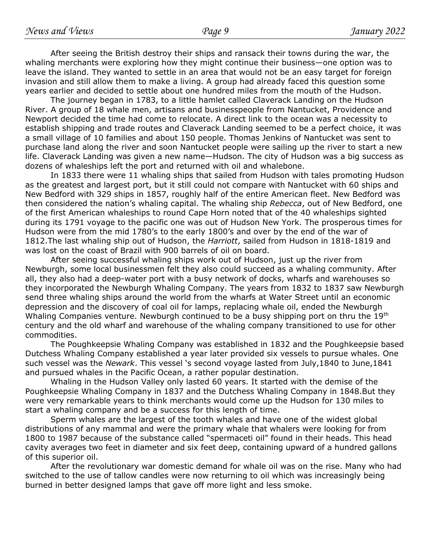After seeing the British destroy their ships and ransack their towns during the war, the whaling merchants were exploring how they might continue their business—one option was to leave the island. They wanted to settle in an area that would not be an easy target for foreign invasion and still allow them to make a living. A group had already faced this question some years earlier and decided to settle about one hundred miles from the mouth of the Hudson.

The journey began in 1783, to a little hamlet called Claverack Landing on the Hudson River. A group of 18 whale men, artisans and businesspeople from Nantucket, Providence and Newport decided the time had come to relocate. A direct link to the ocean was a necessity to establish shipping and trade routes and Claverack Landing seemed to be a perfect choice, it was a small village of 10 families and about 150 people. Thomas Jenkins of Nantucket was sent to purchase land along the river and soon Nantucket people were sailing up the river to start a new life. Claverack Landing was given a new name—Hudson. The city of Hudson was a big success as dozens of whaleships left the port and returned with oil and whalebone.

In 1833 there were 11 whaling ships that sailed from Hudson with tales promoting Hudson as the greatest and largest port, but it still could not compare with Nantucket with 60 ships and New Bedford with 329 ships in 1857, roughly half of the entire American fleet. New Bedford was then considered the nation's whaling capital. The whaling ship *Rebecca*, out of New Bedford, one of the first American whaleships to round Cape Horn noted that of the 40 whaleships sighted during its 1791 voyage to the pacific one was out of Hudson New York. The prosperous times for Hudson were from the mid 1780's to the early 1800's and over by the end of the war of 1812.The last whaling ship out of Hudson, the *Harriott*, sailed from Hudson in 1818-1819 and was lost on the coast of Brazil with 900 barrels of oil on board.

After seeing successful whaling ships work out of Hudson, just up the river from Newburgh, some local businessmen felt they also could succeed as a whaling community. After all, they also had a deep-water port with a busy network of docks, wharfs and warehouses so they incorporated the Newburgh Whaling Company. The years from 1832 to 1837 saw Newburgh send three whaling ships around the world from the wharfs at Water Street until an economic depression and the discovery of coal oil for lamps, replacing whale oil, ended the Newburgh Whaling Companies venture. Newburgh continued to be a busy shipping port on thru the 19<sup>th</sup> century and the old wharf and warehouse of the whaling company transitioned to use for other commodities.

The Poughkeepsie Whaling Company was established in 1832 and the Poughkeepsie based Dutchess Whaling Company established a year later provided six vessels to pursue whales. One such vessel was the *Newark*. This vessel 's second voyage lasted from July,1840 to June,1841 and pursued whales in the Pacific Ocean, a rather popular destination.

Whaling in the Hudson Valley only lasted 60 years. It started with the demise of the Poughkeepsie Whaling Company in 1837 and the Dutchess Whaling Company in 1848.But they were very remarkable years to think merchants would come up the Hudson for 130 miles to start a whaling company and be a success for this length of time.

Sperm whales are the largest of the tooth whales and have one of the widest global distributions of any mammal and were the primary whale that whalers were looking for from 1800 to 1987 because of the substance called "spermaceti oil" found in their heads. This head cavity averages two feet in diameter and six feet deep, containing upward of a hundred gallons of this superior oil.

After the revolutionary war domestic demand for whale oil was on the rise. Many who had switched to the use of tallow candles were now returning to oil which was increasingly being burned in better designed lamps that gave off more light and less smoke.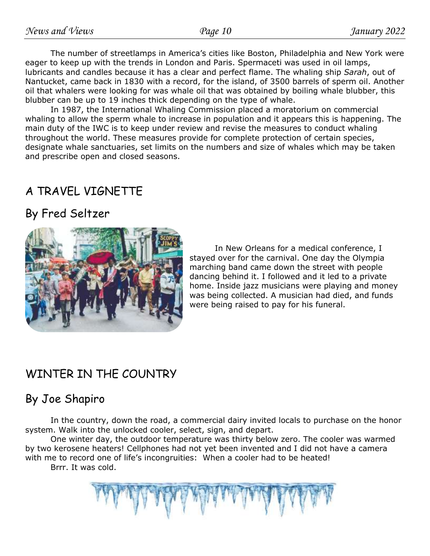The number of streetlamps in America's cities like Boston, Philadelphia and New York were eager to keep up with the trends in London and Paris. Spermaceti was used in oil lamps, lubricants and candles because it has a clear and perfect flame. The whaling ship *Sarah*, out of Nantucket, came back in 1830 with a record, for the island, of 3500 barrels of sperm oil. Another oil that whalers were looking for was whale oil that was obtained by boiling whale blubber, this blubber can be up to 19 inches thick depending on the type of whale.

In 1987, the International Whaling Commission placed a moratorium on commercial whaling to allow the sperm whale to increase in population and it appears this is happening. The main duty of the IWC is to keep under review and revise the measures to conduct whaling throughout the world. These measures provide for complete protection of certain species, designate whale sanctuaries, set limits on the numbers and size of whales which may be taken and prescribe open and closed seasons.

# A TRAVEL VIGNETTE

# By Fred Seltzer



In New Orleans for a medical conference, I stayed over for the carnival. One day the Olympia marching band came down the street with people dancing behind it. I followed and it led to a private home. Inside jazz musicians were playing and money was being collected. A musician had died, and funds were being raised to pay for his funeral.

# WINTER IN THE COUNTRY

# By Joe Shapiro

In the country, down the road, a commercial dairy invited locals to purchase on the honor system. Walk into the unlocked cooler, select, sign, and depart.

One winter day, the outdoor temperature was thirty below zero. The cooler was warmed by two kerosene heaters! Cellphones had not yet been invented and I did not have a camera with me to record one of life's incongruities: When a cooler had to be heated!

Brrr. It was cold.

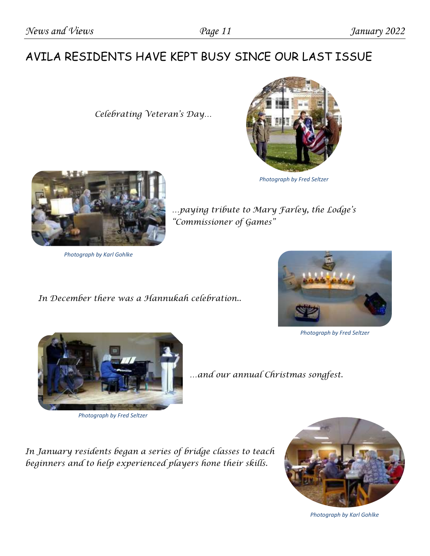# AVILA RESIDENTS HAVE KEPT BUSY SINCE OUR LAST ISSUE

 *Celebrating Veteran's Day…*



*Photograph by Fred Seltzer*



*Photograph by Karl Gohlke*

 *In December there was a Hannukah celebration..*



*Photograph by Fred Seltzer*



*Photograph by Fred Seltzer*

*…and our annual Christmas songfest.*

*…paying tribute to Mary Farley, the Lodge's* 

*"Commissioner of Games"*

*In January residents began a series of bridge classes to teach beginners and to help experienced players hone their skills.* 



*Photograph by Karl Gohlke*